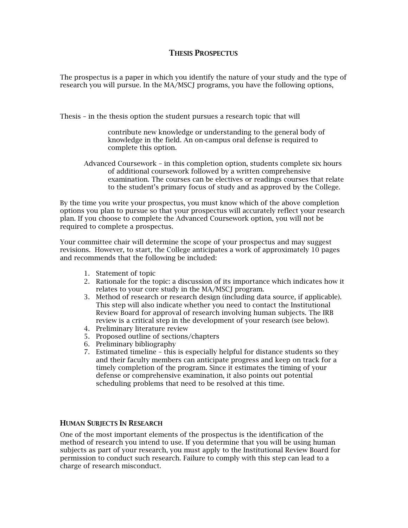## THESIS PROSPECTUS

The prospectus is a paper in which you identify the nature of your study and the type of research you will pursue. In the MA/MSCJ programs, you have the following options,

Thesis – in the thesis option the student pursues a research topic that will

contribute new knowledge or understanding to the general body of knowledge in the field. An on-campus oral defense is required to complete this option.

Advanced Coursework – in this completion option, students complete six hours of additional coursework followed by a written comprehensive examination. The courses can be electives or readings courses that relate to the student's primary focus of study and as approved by the College.

By the time you write your prospectus, you must know which of the above completion options you plan to pursue so that your prospectus will accurately reflect your research plan. If you choose to complete the Advanced Coursework option, you will not be required to complete a prospectus.

Your committee chair will determine the scope of your prospectus and may suggest revisions. However, to start, the College anticipates a work of approximately 10 pages and recommends that the following be included:

- 1. Statement of topic
- 2. Rationale for the topic: a discussion of its importance which indicates how it relates to your core study in the MA/MSCJ program.
- 3. Method of research or research design (including data source, if applicable). This step will also indicate whether you need to contact the Institutional Review Board for approval of research involving human subjects. The IRB review is a critical step in the development of your research (see below).
- 4. Preliminary literature review
- 5. Proposed outline of sections/chapters
- 6. Preliminary bibliography
- 7. Estimated timeline this is especially helpful for distance students so they and their faculty members can anticipate progress and keep on track for a timely completion of the program. Since it estimates the timing of your defense or comprehensive examination, it also points out potential scheduling problems that need to be resolved at this time.

## HUMAN SUBJECTS IN RESEARCH

One of the most important elements of the prospectus is the identification of the method of research you intend to use. If you determine that you will be using human subjects as part of your research, you must apply to the Institutional Review Board for permission to conduct such research. Failure to comply with this step can lead to a charge of research misconduct.